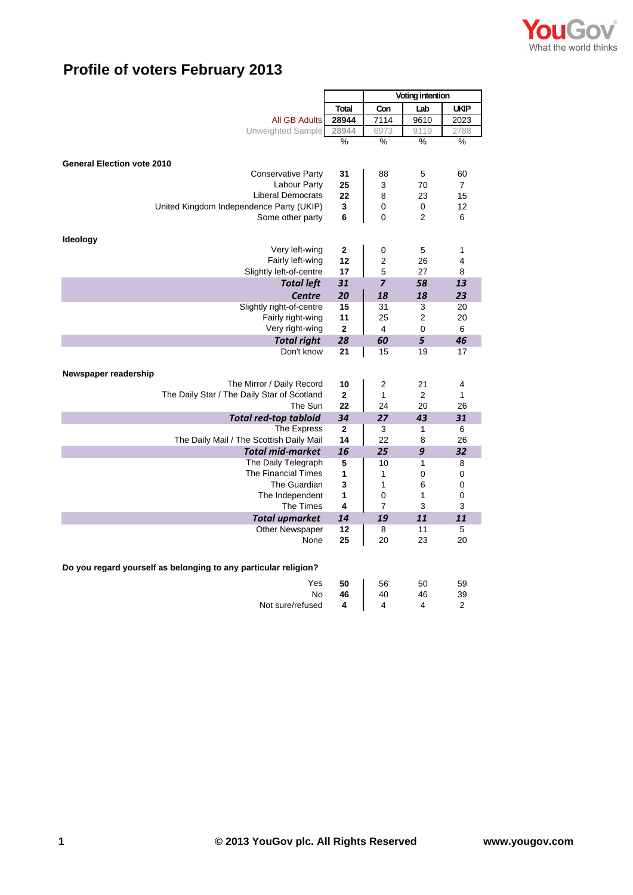

## **Profile of voters February 2013**

|                                                                 |                | Voting intention |                |                |
|-----------------------------------------------------------------|----------------|------------------|----------------|----------------|
|                                                                 | Total          | Con              | Lab            | <b>UKIP</b>    |
| <b>All GB Adults</b>                                            | 28944          | 7114             | 9610           | 2023           |
| Unweighted Sample                                               | 28944          | 6973             | 9119           | 2788           |
|                                                                 | %              | $\frac{9}{6}$    | %              | %              |
|                                                                 |                |                  |                |                |
| <b>General Election vote 2010</b><br><b>Conservative Party</b>  | 31             | 88               | 5              | 60             |
| Labour Party                                                    | 25             | 3                | 70             | $\overline{7}$ |
| <b>Liberal Democrats</b>                                        | 22             | 8                | 23             | 15             |
| United Kingdom Independence Party (UKIP)                        | 3              | 0                | 0              | 12             |
| Some other party                                                | 6              | $\Omega$         | 2              | 6              |
|                                                                 |                |                  |                |                |
| <b>Ideology</b>                                                 |                |                  |                |                |
| Very left-wing                                                  | $\overline{2}$ | 0                | 5              | $\mathbf{1}$   |
| Fairly left-wing                                                | 12             | $\overline{2}$   | 26             | 4              |
| Slightly left-of-centre                                         | 17             | 5                | 27             | 8              |
| <b>Total left</b>                                               | 31             | $\overline{z}$   | 58             | 13             |
| <b>Centre</b>                                                   | 20             | 18               | 18             | 23             |
| Slightly right-of-centre                                        | 15             | 31               | 3              | 20             |
| Fairly right-wing                                               | 11             | 25               | 2              | 20             |
| Very right-wing                                                 | 2              | 4                | 0              | 6              |
| <b>Total right</b>                                              | 28             | 60               | 5              | 46             |
| Don't know                                                      | 21             | 15               | 19             | 17             |
| Newspaper readership                                            |                |                  |                |                |
| The Mirror / Daily Record                                       | 10             | 2                | 21             | 4              |
| The Daily Star / The Daily Star of Scotland                     | $\overline{2}$ | $\mathbf{1}$     | $\overline{2}$ | $\mathbf{1}$   |
| The Sun                                                         | 22             | 24               | 20             | 26             |
| <b>Total red-top tabloid</b>                                    | 34             | 27               | 43             | 31             |
| <b>The Express</b>                                              | $\overline{2}$ | 3                | 1              | 6              |
| The Daily Mail / The Scottish Daily Mail                        | 14             | 22               | 8              | 26             |
| <b>Total mid-market</b>                                         | 16             | 25               | 9              | 32             |
| The Daily Telegraph                                             | 5              | 10               | 1              | 8              |
| <b>The Financial Times</b>                                      | 1              | 1                | 0              | 0              |
| The Guardian                                                    | 3              | 1                | 6              | 0              |
| The Independent                                                 | 1              | 0                | 1              | 0              |
| The Times                                                       | 4              | $\overline{7}$   | 3              | 3              |
| <b>Total upmarket</b>                                           | 14             | 19               | 11             | 11             |
| <b>Other Newspaper</b><br>None                                  | 12<br>25       | 8<br>20          | 11<br>23       | 5<br>20        |
|                                                                 |                |                  |                |                |
|                                                                 |                |                  |                |                |
| Do you regard yourself as belonging to any particular religion? |                |                  |                |                |
| Yes                                                             | 50             | 56               | 50             | 59             |
| No                                                              | 46             | 40               | 46             | 39             |
| Not sure/refused                                                | 4              | 4                | 4              | $\overline{2}$ |
|                                                                 |                |                  |                |                |